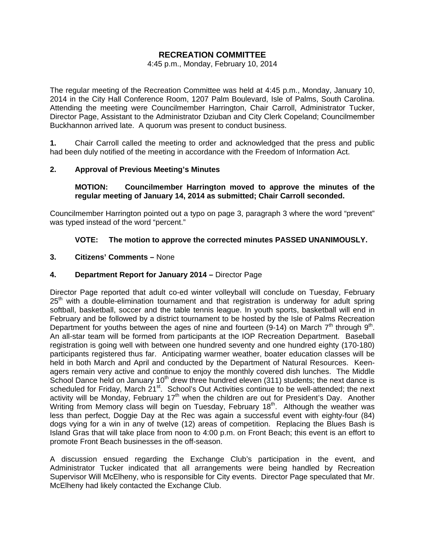## **RECREATION COMMITTEE**

#### 4:45 p.m., Monday, February 10, 2014

The regular meeting of the Recreation Committee was held at 4:45 p.m., Monday, January 10, 2014 in the City Hall Conference Room, 1207 Palm Boulevard, Isle of Palms, South Carolina. Attending the meeting were Councilmember Harrington, Chair Carroll, Administrator Tucker, Director Page, Assistant to the Administrator Dziuban and City Clerk Copeland; Councilmember Buckhannon arrived late. A quorum was present to conduct business.

**1.** Chair Carroll called the meeting to order and acknowledged that the press and public had been duly notified of the meeting in accordance with the Freedom of Information Act.

## **2. Approval of Previous Meeting's Minutes**

#### **MOTION: Councilmember Harrington moved to approve the minutes of the regular meeting of January 14, 2014 as submitted; Chair Carroll seconded.**

Councilmember Harrington pointed out a typo on page 3, paragraph 3 where the word "prevent" was typed instead of the word "percent."

## **VOTE: The motion to approve the corrected minutes PASSED UNANIMOUSLY.**

#### **3. Citizens' Comments –** None

#### **4. Department Report for January 2014 –** Director Page

Director Page reported that adult co-ed winter volleyball will conclude on Tuesday, February  $25<sup>th</sup>$  with a double-elimination tournament and that registration is underway for adult spring softball, basketball, soccer and the table tennis league. In youth sports, basketball will end in February and be followed by a district tournament to be hosted by the Isle of Palms Recreation Department for youths between the ages of nine and fourteen (9-14) on March  $7<sup>th</sup>$  through 9<sup>th</sup>. An all-star team will be formed from participants at the IOP Recreation Department. Baseball registration is going well with between one hundred seventy and one hundred eighty (170-180) participants registered thus far. Anticipating warmer weather, boater education classes will be held in both March and April and conducted by the Department of Natural Resources. Keenagers remain very active and continue to enjoy the monthly covered dish lunches. The Middle School Dance held on January  $10<sup>th</sup>$  drew three hundred eleven (311) students; the next dance is scheduled for Friday, March 21<sup>st</sup>. School's Out Activities continue to be well-attended; the next activity will be Monday, February 17<sup>th</sup> when the children are out for President's Day. Another Writing from Memory class will begin on Tuesday, February  $18<sup>th</sup>$ . Although the weather was less than perfect, Doggie Day at the Rec was again a successful event with eighty-four (84) dogs vying for a win in any of twelve (12) areas of competition. Replacing the Blues Bash is Island Gras that will take place from noon to 4:00 p.m. on Front Beach; this event is an effort to promote Front Beach businesses in the off-season.

A discussion ensued regarding the Exchange Club's participation in the event, and Administrator Tucker indicated that all arrangements were being handled by Recreation Supervisor Will McElheny, who is responsible for City events. Director Page speculated that Mr. McElheny had likely contacted the Exchange Club.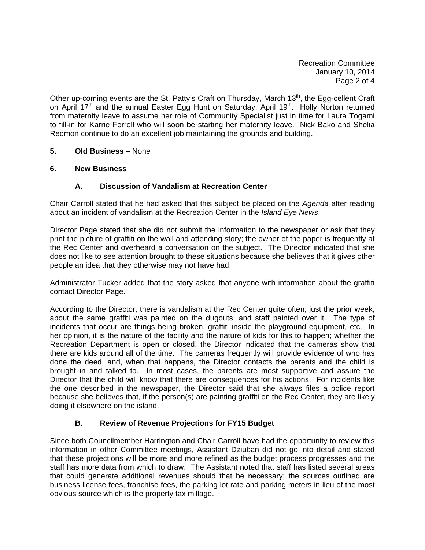Recreation Committee January 10, 2014 Page 2 of 4

Other up-coming events are the St. Patty's Craft on Thursday, March 13<sup>th</sup>, the Egg-cellent Craft on April 17<sup>th</sup> and the annual Easter Egg Hunt on Saturday, April 19<sup>th</sup>. Holly Norton returned from maternity leave to assume her role of Community Specialist just in time for Laura Togami to fill-in for Karrie Ferrell who will soon be starting her maternity leave. Nick Bako and Shelia Redmon continue to do an excellent job maintaining the grounds and building.

## **5. Old Business –** None

#### **6. New Business**

## **A. Discussion of Vandalism at Recreation Center**

Chair Carroll stated that he had asked that this subject be placed on the *Agenda* after reading about an incident of vandalism at the Recreation Center in the *Island Eye News*.

Director Page stated that she did not submit the information to the newspaper or ask that they print the picture of graffiti on the wall and attending story; the owner of the paper is frequently at the Rec Center and overheard a conversation on the subject. The Director indicated that she does not like to see attention brought to these situations because she believes that it gives other people an idea that they otherwise may not have had.

Administrator Tucker added that the story asked that anyone with information about the graffiti contact Director Page.

According to the Director, there is vandalism at the Rec Center quite often; just the prior week, about the same graffiti was painted on the dugouts, and staff painted over it. The type of incidents that occur are things being broken, graffiti inside the playground equipment, etc. In her opinion, it is the nature of the facility and the nature of kids for this to happen; whether the Recreation Department is open or closed, the Director indicated that the cameras show that there are kids around all of the time. The cameras frequently will provide evidence of who has done the deed, and, when that happens, the Director contacts the parents and the child is brought in and talked to. In most cases, the parents are most supportive and assure the Director that the child will know that there are consequences for his actions. For incidents like the one described in the newspaper, the Director said that she always files a police report because she believes that, if the person(s) are painting graffiti on the Rec Center, they are likely doing it elsewhere on the island.

## **B. Review of Revenue Projections for FY15 Budget**

Since both Councilmember Harrington and Chair Carroll have had the opportunity to review this information in other Committee meetings, Assistant Dziuban did not go into detail and stated that these projections will be more and more refined as the budget process progresses and the staff has more data from which to draw. The Assistant noted that staff has listed several areas that could generate additional revenues should that be necessary; the sources outlined are business license fees, franchise fees, the parking lot rate and parking meters in lieu of the most obvious source which is the property tax millage.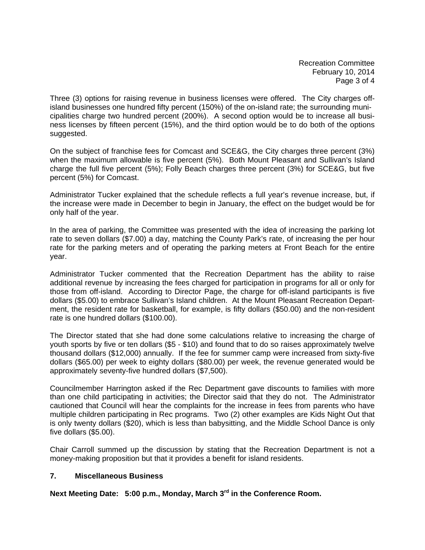Recreation Committee February 10, 2014 Page 3 of 4

Three (3) options for raising revenue in business licenses were offered. The City charges offisland businesses one hundred fifty percent (150%) of the on-island rate; the surrounding municipalities charge two hundred percent (200%). A second option would be to increase all business licenses by fifteen percent (15%), and the third option would be to do both of the options suggested.

On the subject of franchise fees for Comcast and SCE&G, the City charges three percent (3%) when the maximum allowable is five percent (5%). Both Mount Pleasant and Sullivan's Island charge the full five percent (5%); Folly Beach charges three percent (3%) for SCE&G, but five percent (5%) for Comcast.

Administrator Tucker explained that the schedule reflects a full year's revenue increase, but, if the increase were made in December to begin in January, the effect on the budget would be for only half of the year.

In the area of parking, the Committee was presented with the idea of increasing the parking lot rate to seven dollars (\$7.00) a day, matching the County Park's rate, of increasing the per hour rate for the parking meters and of operating the parking meters at Front Beach for the entire year.

Administrator Tucker commented that the Recreation Department has the ability to raise additional revenue by increasing the fees charged for participation in programs for all or only for those from off-island. According to Director Page, the charge for off-island participants is five dollars (\$5.00) to embrace Sullivan's Island children. At the Mount Pleasant Recreation Department, the resident rate for basketball, for example, is fifty dollars (\$50.00) and the non-resident rate is one hundred dollars (\$100.00).

The Director stated that she had done some calculations relative to increasing the charge of youth sports by five or ten dollars (\$5 - \$10) and found that to do so raises approximately twelve thousand dollars (\$12,000) annually. If the fee for summer camp were increased from sixty-five dollars (\$65.00) per week to eighty dollars (\$80.00) per week, the revenue generated would be approximately seventy-five hundred dollars (\$7,500).

Councilmember Harrington asked if the Rec Department gave discounts to families with more than one child participating in activities; the Director said that they do not. The Administrator cautioned that Council will hear the complaints for the increase in fees from parents who have multiple children participating in Rec programs. Two (2) other examples are Kids Night Out that is only twenty dollars (\$20), which is less than babysitting, and the Middle School Dance is only five dollars (\$5.00).

Chair Carroll summed up the discussion by stating that the Recreation Department is not a money-making proposition but that it provides a benefit for island residents.

## **7. Miscellaneous Business**

**Next Meeting Date: 5:00 p.m., Monday, March 3rd in the Conference Room.**